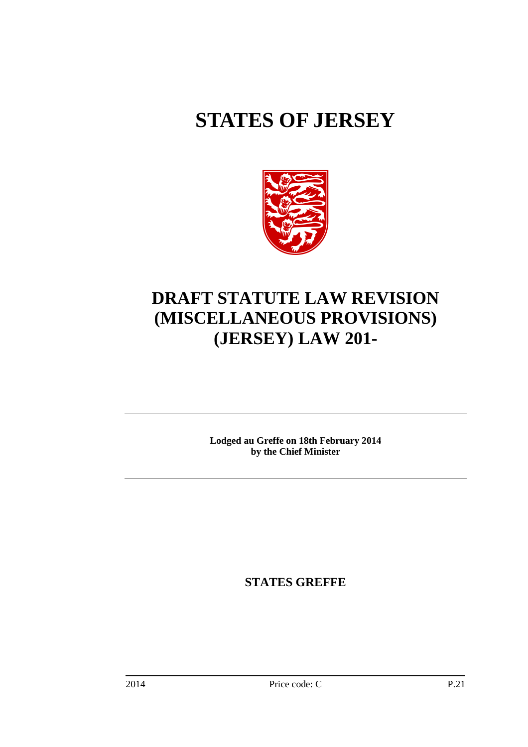# **STATES OF JERSEY**



# **DRAFT STATUTE LAW REVISION (MISCELLANEOUS PROVISIONS) (JERSEY) LAW 201-**

**Lodged au Greffe on 18th February 2014 by the Chief Minister** 

**STATES GREFFE**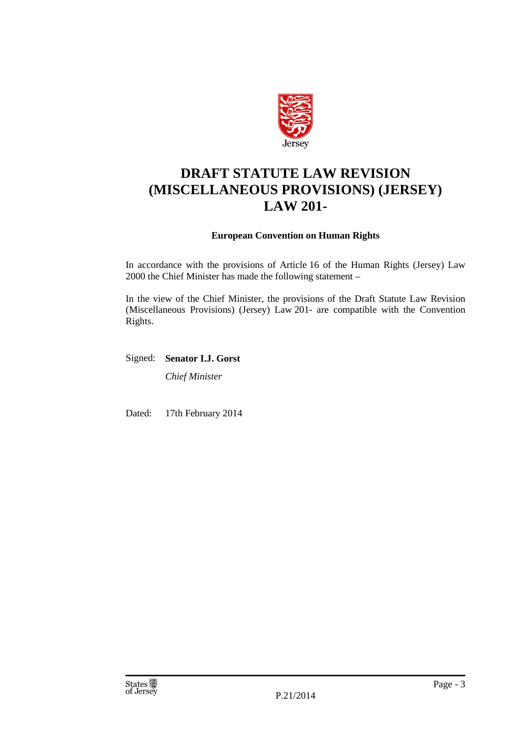

## **DRAFT STATUTE LAW REVISION (MISCELLANEOUS PROVISIONS) (JERSEY) LAW 201-**

#### **European Convention on Human Rights**

In accordance with the provisions of Article 16 of the Human Rights (Jersey) Law 2000 the Chief Minister has made the following statement –

In the view of the Chief Minister, the provisions of the Draft Statute Law Revision (Miscellaneous Provisions) (Jersey) Law 201- are compatible with the Convention Rights.

Signed: **Senator I.J. Gorst** 

*Chief Minister* 

Dated: 17th February 2014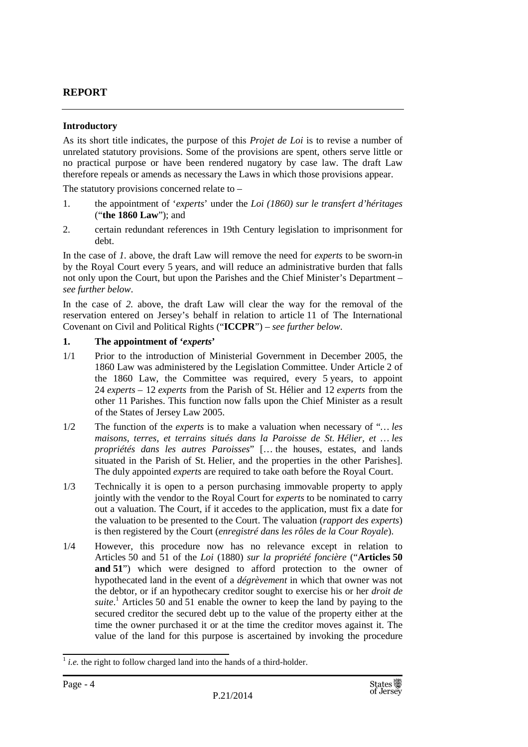#### **REPORT**

#### **Introductory**

As its short title indicates, the purpose of this *Projet de Loi* is to revise a number of unrelated statutory provisions. Some of the provisions are spent, others serve little or no practical purpose or have been rendered nugatory by case law. The draft Law therefore repeals or amends as necessary the Laws in which those provisions appear.

The statutory provisions concerned relate to –

- 1. the appointment of '*experts*' under the *Loi (1860) sur le transfert d'héritages* ("**the 1860 Law**"); and
- 2. certain redundant references in 19th Century legislation to imprisonment for debt.

In the case of *1.* above, the draft Law will remove the need for *experts* to be sworn-in by the Royal Court every 5 years, and will reduce an administrative burden that falls not only upon the Court, but upon the Parishes and the Chief Minister's Department – *see further below*.

In the case of *2.* above, the draft Law will clear the way for the removal of the reservation entered on Jersey's behalf in relation to article 11 of The International Covenant on Civil and Political Rights ("**ICCPR**") – *see further below*.

#### **1. The appointment of '***experts***'**

- 1/1 Prior to the introduction of Ministerial Government in December 2005, the 1860 Law was administered by the Legislation Committee. Under Article 2 of the 1860 Law, the Committee was required, every 5 years, to appoint 24 *experts* – 12 *experts* from the Parish of St. Hélier and 12 *experts* from the other 11 Parishes. This function now falls upon the Chief Minister as a result of the States of Jersey Law 2005.
- 1/2 The function of the *experts* is to make a valuation when necessary of "*… les maisons, terres, et terrains situés dans la Paroisse de St. Hélier, et … les propriétés dans les autres Paroisses*" [… the houses, estates, and lands situated in the Parish of St. Helier, and the properties in the other Parishes]. The duly appointed *experts* are required to take oath before the Royal Court.
- 1/3 Technically it is open to a person purchasing immovable property to apply jointly with the vendor to the Royal Court for *experts* to be nominated to carry out a valuation. The Court, if it accedes to the application, must fix a date for the valuation to be presented to the Court. The valuation (*rapport des experts*) is then registered by the Court (*enregistré dans les rôles de la Cour Royale*).
- 1/4 However, this procedure now has no relevance except in relation to Articles 50 and 51 of the *Loi* (1880) *sur la propriété foncière* ("**Articles 50 and 51**") which were designed to afford protection to the owner of hypothecated land in the event of a *dégrèvement* in which that owner was not the debtor, or if an hypothecary creditor sought to exercise his or her *droit de*  suite.<sup>1</sup> Articles 50 and 51 enable the owner to keep the land by paying to the secured creditor the secured debt up to the value of the property either at the time the owner purchased it or at the time the creditor moves against it. The value of the land for this purpose is ascertained by invoking the procedure

 $<sup>1</sup>$  *i.e.* the right to follow charged land into the hands of a third-holder.</sup>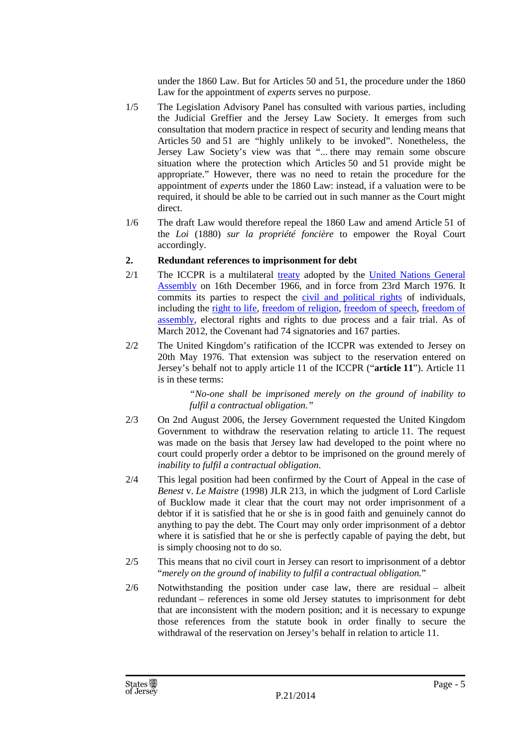under the 1860 Law. But for Articles 50 and 51, the procedure under the 1860 Law for the appointment of *experts* serves no purpose.

- 1/5 The Legislation Advisory Panel has consulted with various parties, including the Judicial Greffier and the Jersey Law Society. It emerges from such consultation that modern practice in respect of security and lending means that Articles 50 and 51 are "highly unlikely to be invoked". Nonetheless, the Jersey Law Society's view was that "... there may remain some obscure situation where the protection which Articles 50 and 51 provide might be appropriate." However, there was no need to retain the procedure for the appointment of *experts* under the 1860 Law: instead, if a valuation were to be required, it should be able to be carried out in such manner as the Court might direct.
- 1/6 The draft Law would therefore repeal the 1860 Law and amend Article 51 of the *Loi* (1880) *sur la propriété foncière* to empower the Royal Court accordingly.

#### **2. Redundant references to imprisonment for debt**

- 2/1 The ICCPR is a multilateral treaty adopted by the United Nations General Assembly on 16th December 1966, and in force from 23rd March 1976. It commits its parties to respect the civil and political rights of individuals, including the right to life, freedom of religion, freedom of speech, freedom of assembly, electoral rights and rights to due process and a fair trial. As of March 2012, the Covenant had 74 signatories and 167 parties.
- 2/2 The United Kingdom's ratification of the ICCPR was extended to Jersey on 20th May 1976. That extension was subject to the reservation entered on Jersey's behalf not to apply article 11 of the ICCPR ("**article 11**"). Article 11 is in these terms:

*"No-one shall be imprisoned merely on the ground of inability to fulfil a contractual obligation."*

- 2/3 On 2nd August 2006, the Jersey Government requested the United Kingdom Government to withdraw the reservation relating to article 11. The request was made on the basis that Jersey law had developed to the point where no court could properly order a debtor to be imprisoned on the ground merely of *inability to fulfil a contractual obligation*.
- 2/4 This legal position had been confirmed by the Court of Appeal in the case of *Benest* v. *Le Maistre* (1998) JLR 213, in which the judgment of Lord Carlisle of Bucklow made it clear that the court may not order imprisonment of a debtor if it is satisfied that he or she is in good faith and genuinely cannot do anything to pay the debt. The Court may only order imprisonment of a debtor where it is satisfied that he or she is perfectly capable of paying the debt, but is simply choosing not to do so.
- 2/5 This means that no civil court in Jersey can resort to imprisonment of a debtor "*merely on the ground of inability to fulfil a contractual obligation.*"
- 2/6 Notwithstanding the position under case law, there are residual albeit redundant – references in some old Jersey statutes to imprisonment for debt that are inconsistent with the modern position; and it is necessary to expunge those references from the statute book in order finally to secure the withdrawal of the reservation on Jersey's behalf in relation to article 11.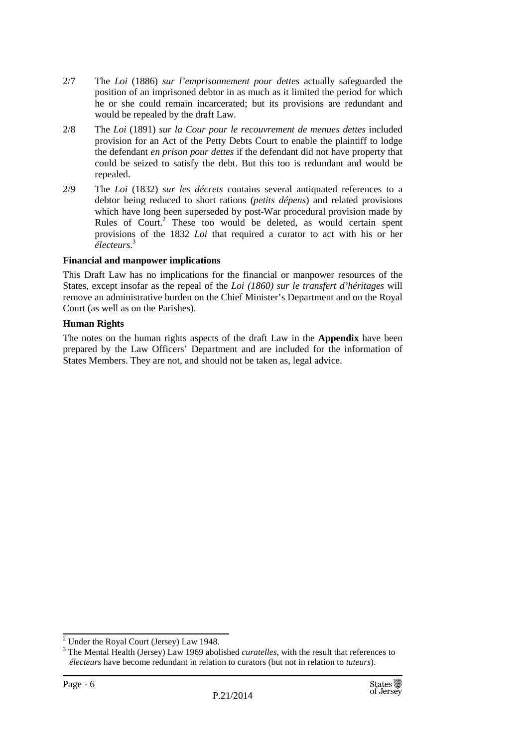- 2/7 The *Loi* (1886) *sur l'emprisonnement pour dettes* actually safeguarded the position of an imprisoned debtor in as much as it limited the period for which he or she could remain incarcerated; but its provisions are redundant and would be repealed by the draft Law.
- 2/8 The *Loi* (1891) *sur la Cour pour le recouvrement de menues dettes* included provision for an Act of the Petty Debts Court to enable the plaintiff to lodge the defendant *en prison pour dettes* if the defendant did not have property that could be seized to satisfy the debt. But this too is redundant and would be repealed.
- 2/9 The *Loi* (1832) *sur les décrets* contains several antiquated references to a debtor being reduced to short rations (*petits dépens*) and related provisions which have long been superseded by post-War procedural provision made by Rules of Court.<sup>2</sup> These too would be deleted, as would certain spent provisions of the 1832 *Loi* that required a curator to act with his or her *électeurs*. 3

#### **Financial and manpower implications**

This Draft Law has no implications for the financial or manpower resources of the States, except insofar as the repeal of the *Loi (1860) sur le transfert d'héritages* will remove an administrative burden on the Chief Minister's Department and on the Royal Court (as well as on the Parishes).

#### **Human Rights**

The notes on the human rights aspects of the draft Law in the **Appendix** have been prepared by the Law Officers' Department and are included for the information of States Members. They are not, and should not be taken as, legal advice.

 $2$  Under the Royal Court (Jersey) Law 1948.

<sup>3</sup> The Mental Health (Jersey) Law 1969 abolished *curatelles*, with the result that references to *électeurs* have become redundant in relation to curators (but not in relation to *tuteurs*).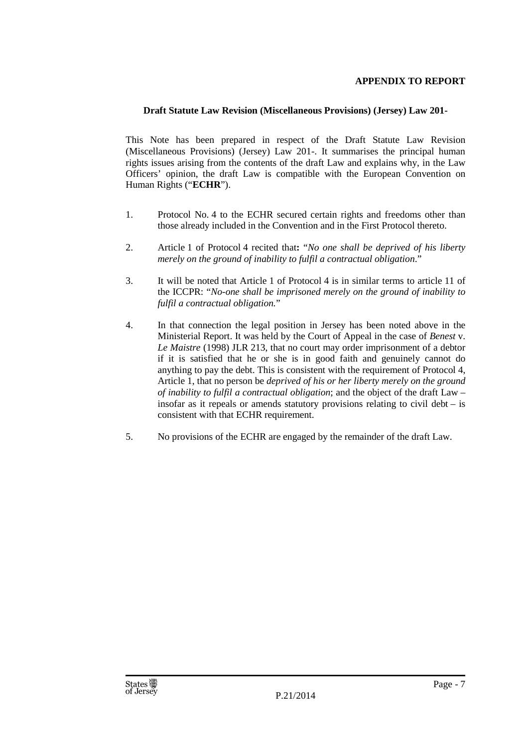#### **APPENDIX TO REPORT**

#### **Draft Statute Law Revision (Miscellaneous Provisions) (Jersey) Law 201-**

This Note has been prepared in respect of the Draft Statute Law Revision (Miscellaneous Provisions) (Jersey) Law 201-. It summarises the principal human rights issues arising from the contents of the draft Law and explains why, in the Law Officers' opinion, the draft Law is compatible with the European Convention on Human Rights ("**ECHR**").

- 1. Protocol No. 4 to the ECHR secured certain rights and freedoms other than those already included in the Convention and in the First Protocol thereto.
- 2. Article 1 of Protocol 4 recited that**:** "*No one shall be deprived of his liberty merely on the ground of inability to fulfil a contractual obligation*."
- 3. It will be noted that Article 1 of Protocol 4 is in similar terms to article 11 of the ICCPR: "*No-one shall be imprisoned merely on the ground of inability to fulfil a contractual obligation.*"
- 4. In that connection the legal position in Jersey has been noted above in the Ministerial Report. It was held by the Court of Appeal in the case of *Benest* v. *Le Maistre* (1998) JLR 213, that no court may order imprisonment of a debtor if it is satisfied that he or she is in good faith and genuinely cannot do anything to pay the debt. This is consistent with the requirement of Protocol 4, Article 1, that no person be *deprived of his or her liberty merely on the ground of inability to fulfil a contractual obligation*; and the object of the draft Law – insofar as it repeals or amends statutory provisions relating to civil debt – is consistent with that ECHR requirement.
- 5. No provisions of the ECHR are engaged by the remainder of the draft Law.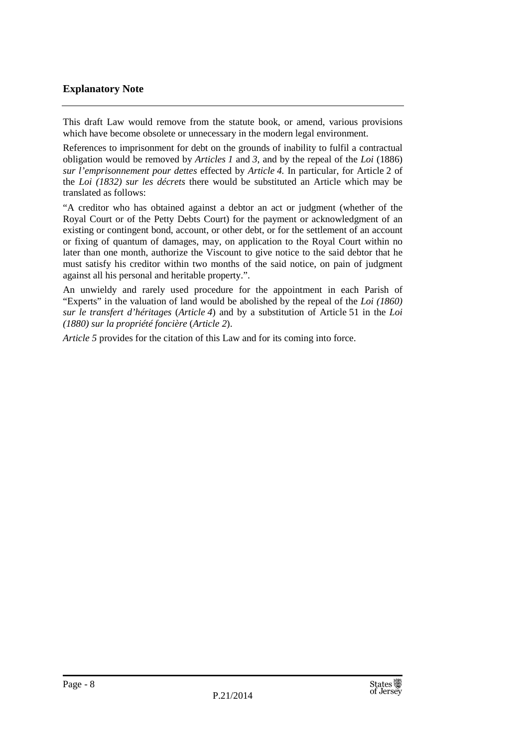#### **Explanatory Note**

This draft Law would remove from the statute book, or amend, various provisions which have become obsolete or unnecessary in the modern legal environment.

References to imprisonment for debt on the grounds of inability to fulfil a contractual obligation would be removed by *Articles 1* and *3*, and by the repeal of the *Loi* (1886) *sur l'emprisonnement pour dettes* effected by *Article 4.* In particular, for Article 2 of the *Loi (1832) sur les décrets* there would be substituted an Article which may be translated as follows:

"A creditor who has obtained against a debtor an act or judgment (whether of the Royal Court or of the Petty Debts Court) for the payment or acknowledgment of an existing or contingent bond, account, or other debt, or for the settlement of an account or fixing of quantum of damages, may, on application to the Royal Court within no later than one month, authorize the Viscount to give notice to the said debtor that he must satisfy his creditor within two months of the said notice, on pain of judgment against all his personal and heritable property.".

An unwieldy and rarely used procedure for the appointment in each Parish of "Experts" in the valuation of land would be abolished by the repeal of the *Loi (1860) sur le transfert d'héritages* (*Article 4*) and by a substitution of Article 51 in the *Loi (1880) sur la propriété foncière* (*Article 2*).

*Article 5* provides for the citation of this Law and for its coming into force.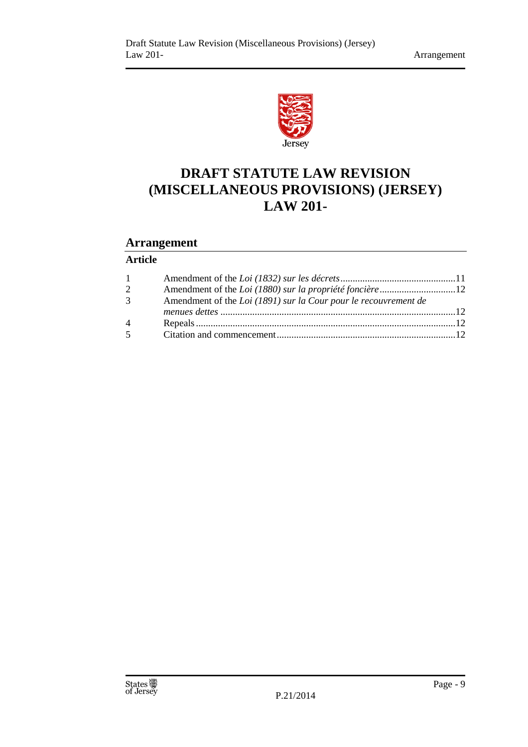

# **DRAFT STATUTE LAW REVISION (MISCELLANEOUS PROVISIONS) (JERSEY) LAW 201-**

### **Arrangement**

### **Article**

| $1 \quad$      |                                                                 |  |
|----------------|-----------------------------------------------------------------|--|
| 2              |                                                                 |  |
| 3 <sup>7</sup> | Amendment of the Loi (1891) sur la Cour pour le recouvrement de |  |
|                |                                                                 |  |
| 4              |                                                                 |  |
| $\overline{5}$ |                                                                 |  |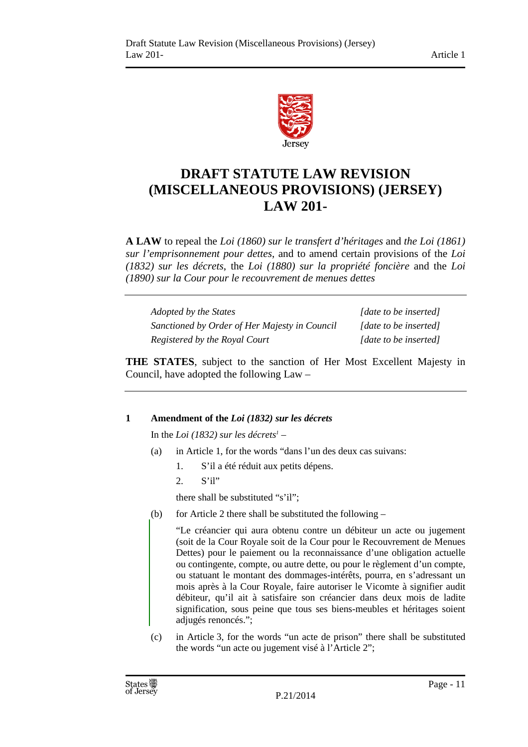

## **DRAFT STATUTE LAW REVISION (MISCELLANEOUS PROVISIONS) (JERSEY) LAW 201-**

**A LAW** to repeal the *Loi (1860) sur le transfert d'héritages* and *the Loi (1861) sur l'emprisonnement pour dettes*, and to amend certain provisions of the *Loi (1832) sur les décrets*, the *Loi (1880) sur la propriété foncière* and the *Loi (1890) sur la Cour pour le recouvrement de menues dettes* 

*Adopted by the States* [*date to be inserted] Sanctioned by Order of Her Majesty in Council [date to be inserted] Registered by the Royal Court* [date to be inserted]

**THE STATES**, subject to the sanction of Her Most Excellent Majesty in Council, have adopted the following Law –

#### **1 Amendment of the** *Loi (1832) sur les décrets*

In the *Loi (1832) sur les décrets<sup>1</sup>* –

- (a) in Article 1, for the words "dans l'un des deux cas suivans:
	- 1. S'il a été réduit aux petits dépens.
	- 2. S'il"

there shall be substituted "s'il";

(b) for Article 2 there shall be substituted the following  $-$ 

"Le créancier qui aura obtenu contre un débiteur un acte ou jugement (soit de la Cour Royale soit de la Cour pour le Recouvrement de Menues Dettes) pour le paiement ou la reconnaissance d'une obligation actuelle ou contingente, compte, ou autre dette, ou pour le règlement d'un compte, ou statuant le montant des dommages-intérêts, pourra, en s'adressant un mois après à la Cour Royale, faire autoriser le Vicomte à signifier audit débiteur, qu'il ait à satisfaire son créancier dans deux mois de ladite signification, sous peine que tous ses biens-meubles et héritages soient adjugés renoncés.";

(c) in Article 3, for the words "un acte de prison" there shall be substituted the words "un acte ou jugement visé à l'Article 2";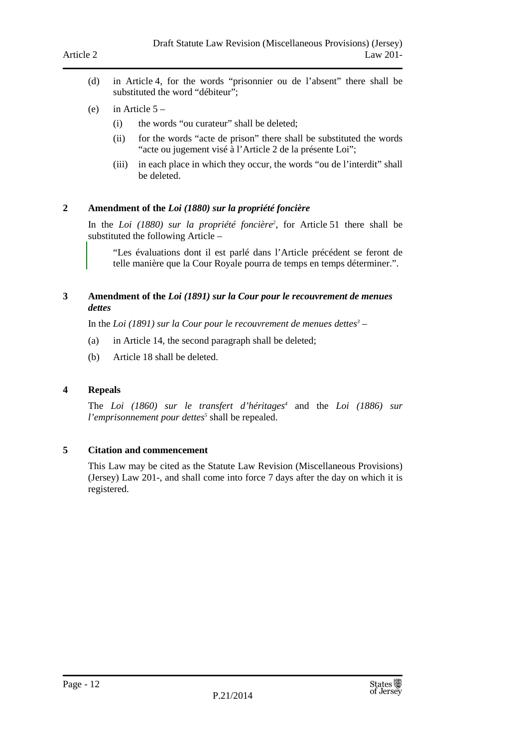- (d) in Article 4, for the words "prisonnier ou de l'absent" there shall be substituted the word "débiteur";
- (e) in Article  $5 -$ 
	- (i) the words "ou curateur" shall be deleted;
	- (ii) for the words "acte de prison" there shall be substituted the words "acte ou jugement visé à l'Article 2 de la présente Loi";
	- (iii) in each place in which they occur, the words "ou de l'interdit" shall be deleted.

#### **2 Amendment of the** *Loi (1880) sur la propriété foncière*

In the *Loi (1880) sur la propriété foncière<sup>2</sup>* , for Article 51 there shall be substituted the following Article –

"Les évaluations dont il est parlé dans l'Article précédent se feront de telle manière que la Cour Royale pourra de temps en temps déterminer.".

#### **3 Amendment of the** *Loi (1891) sur la Cour pour le recouvrement de menues dettes*

In the *Loi (1891) sur la Cour pour le recouvrement de menues dettes<sup>3</sup>* –

- (a) in Article 14, the second paragraph shall be deleted;
- (b) Article 18 shall be deleted.

#### **4 Repeals**

The *Loi (1860) sur le transfert d'héritages<sup>4</sup>* and the *Loi (1886) sur l'emprisonnement pour dettes*<sup>5</sup> shall be repealed.

#### **5 Citation and commencement**

This Law may be cited as the Statute Law Revision (Miscellaneous Provisions) (Jersey) Law 201-, and shall come into force 7 days after the day on which it is registered.